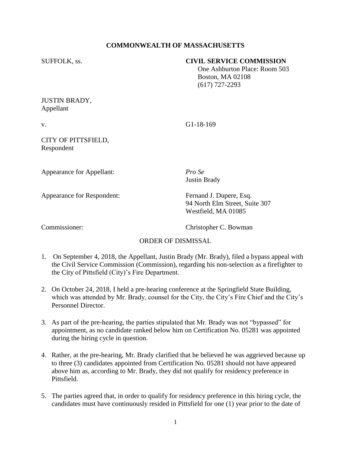# **COMMONWEALTH OF MASSACHUSETTS**

### SUFFOLK, ss. **CIVIL SERVICE COMMISSION**

 One Ashburton Place: Room 503 Boston, MA 02108 (617) 727-2293

# JUSTIN BRADY, Appellant

v. G1-18-169

### CITY OF PITTSFIELD, Respondent

Appearance for Appellant: *Pro Se*

Justin Brady

Appearance for Respondent: Fernand J. Dupere, Esq.

94 North Elm Street, Suite 307 Westfield, MA 01085

Commissioner: Christopher C. Bowman

# ORDER OF DISMISSAL

- 1. On September 4, 2018, the Appellant, Justin Brady (Mr. Brady), filed a bypass appeal with the Civil Service Commission (Commission), regarding his non-selection as a firefighter to the City of Pittsfield (City)'s Fire Department.
- 2. On October 24, 2018, I held a pre-hearing conference at the Springfield State Building, which was attended by Mr. Brady, counsel for the City, the City's Fire Chief and the City's Personnel Director.
- 3. As part of the pre-hearing, the parties stipulated that Mr. Brady was not "bypassed" for appointment, as no candidate ranked below him on Certification No. 05281 was appointed during the hiring cycle in question.
- 4. Rather, at the pre-hearing, Mr. Brady clarified that he believed he was aggrieved because up to three (3) candidates appointed from Certification No. 05281 should not have appeared above him as, according to Mr. Brady, they did not qualify for residency preference in Pittsfield.
- 5. The parties agreed that, in order to qualify for residency preference in this hiring cycle, the candidates must have continuously resided in Pittsfield for one (1) year prior to the date of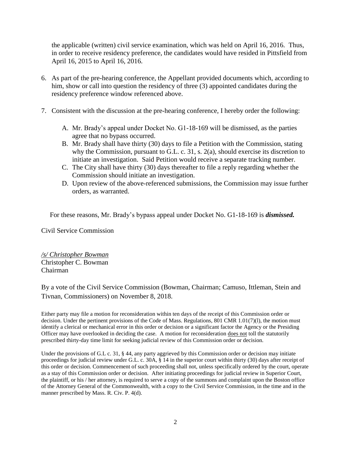the applicable (written) civil service examination, which was held on April 16, 2016. Thus, in order to receive residency preference, the candidates would have resided in Pittsfield from April 16, 2015 to April 16, 2016.

- 6. As part of the pre-hearing conference, the Appellant provided documents which, according to him, show or call into question the residency of three (3) appointed candidates during the residency preference window referenced above.
- 7. Consistent with the discussion at the pre-hearing conference, I hereby order the following:
	- A. Mr. Brady's appeal under Docket No. G1-18-169 will be dismissed, as the parties agree that no bypass occurred.
	- B. Mr. Brady shall have thirty (30) days to file a Petition with the Commission, stating why the Commission, pursuant to G.L. c. 31, s. 2(a), should exercise its discretion to initiate an investigation. Said Petition would receive a separate tracking number.
	- C. The City shall have thirty (30) days thereafter to file a reply regarding whether the Commission should initiate an investigation.
	- D. Upon review of the above-referenced submissions, the Commission may issue further orders, as warranted.

For these reasons, Mr. Brady's bypass appeal under Docket No. G1-18-169 is *dismissed.*

Civil Service Commission

*/s/ Christopher Bowman* Christopher C. Bowman Chairman

By a vote of the Civil Service Commission (Bowman, Chairman; Camuso, Ittleman, Stein and Tivnan, Commissioners) on November 8, 2018.

Either party may file a motion for reconsideration within ten days of the receipt of this Commission order or decision. Under the pertinent provisions of the Code of Mass. Regulations, 801 CMR 1.01(7)(l), the motion must identify a clerical or mechanical error in this order or decision or a significant factor the Agency or the Presiding Officer may have overlooked in deciding the case. A motion for reconsideration does not toll the statutorily prescribed thirty-day time limit for seeking judicial review of this Commission order or decision.

Under the provisions of G.L c. 31, § 44, any party aggrieved by this Commission order or decision may initiate proceedings for judicial review under G.L. c. 30A, § 14 in the superior court within thirty (30) days after receipt of this order or decision. Commencement of such proceeding shall not, unless specifically ordered by the court, operate as a stay of this Commission order or decision. After initiating proceedings for judicial review in Superior Court, the plaintiff, or his / her attorney, is required to serve a copy of the summons and complaint upon the Boston office of the Attorney General of the Commonwealth, with a copy to the Civil Service Commission, in the time and in the manner prescribed by Mass. R. Civ. P. 4(d).